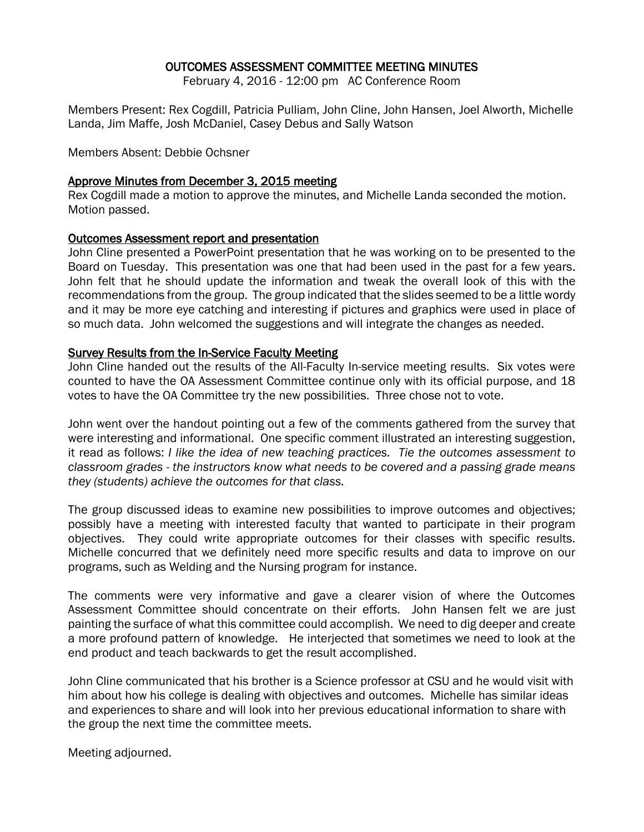## OUTCOMES ASSESSMENT COMMITTEE MEETING MINUTES

February 4, 2016 - 12:00 pm AC Conference Room

Members Present: Rex Cogdill, Patricia Pulliam, John Cline, John Hansen, Joel Alworth, Michelle Landa, Jim Maffe, Josh McDaniel, Casey Debus and Sally Watson

Members Absent: Debbie Ochsner

### Approve Minutes from December 3, 2015 meeting

Rex Cogdill made a motion to approve the minutes, and Michelle Landa seconded the motion. Motion passed.

#### Outcomes Assessment report and presentation

John Cline presented a PowerPoint presentation that he was working on to be presented to the Board on Tuesday. This presentation was one that had been used in the past for a few years. John felt that he should update the information and tweak the overall look of this with the recommendations from the group. The group indicated that the slides seemed to be a little wordy and it may be more eye catching and interesting if pictures and graphics were used in place of so much data. John welcomed the suggestions and will integrate the changes as needed.

#### Survey Results from the In-Service Faculty Meeting

John Cline handed out the results of the All-Faculty In-service meeting results. Six votes were counted to have the OA Assessment Committee continue only with its official purpose, and 18 votes to have the OA Committee try the new possibilities. Three chose not to vote.

John went over the handout pointing out a few of the comments gathered from the survey that were interesting and informational. One specific comment illustrated an interesting suggestion, it read as follows: *I like the idea of new teaching practices. Tie the outcomes assessment to classroom grades - the instructors know what needs to be covered and a passing grade means they (students) achieve the outcomes for that class.*

The group discussed ideas to examine new possibilities to improve outcomes and objectives; possibly have a meeting with interested faculty that wanted to participate in their program objectives. They could write appropriate outcomes for their classes with specific results. Michelle concurred that we definitely need more specific results and data to improve on our programs, such as Welding and the Nursing program for instance.

The comments were very informative and gave a clearer vision of where the Outcomes Assessment Committee should concentrate on their efforts. John Hansen felt we are just painting the surface of what this committee could accomplish. We need to dig deeper and create a more profound pattern of knowledge. He interjected that sometimes we need to look at the end product and teach backwards to get the result accomplished.

John Cline communicated that his brother is a Science professor at CSU and he would visit with him about how his college is dealing with objectives and outcomes. Michelle has similar ideas and experiences to share and will look into her previous educational information to share with the group the next time the committee meets.

Meeting adjourned.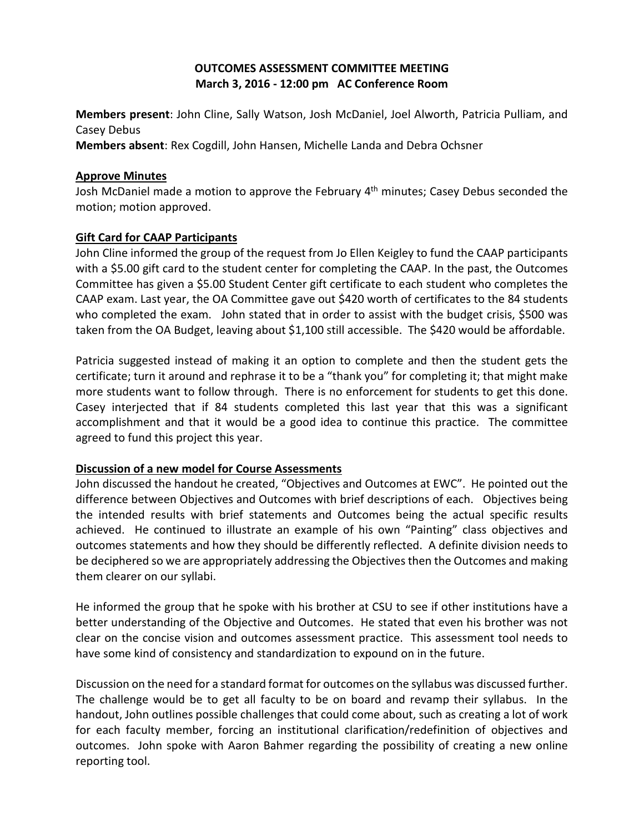# **OUTCOMES ASSESSMENT COMMITTEE MEETING March 3, 2016 - 12:00 pm AC Conference Room**

**Members present**: John Cline, Sally Watson, Josh McDaniel, Joel Alworth, Patricia Pulliam, and Casey Debus

**Members absent**: Rex Cogdill, John Hansen, Michelle Landa and Debra Ochsner

## **Approve Minutes**

Josh McDaniel made a motion to approve the February 4<sup>th</sup> minutes; Casey Debus seconded the motion; motion approved.

# **Gift Card for CAAP Participants**

John Cline informed the group of the request from Jo Ellen Keigley to fund the CAAP participants with a \$5.00 gift card to the student center for completing the CAAP. In the past, the Outcomes Committee has given a \$5.00 Student Center gift certificate to each student who completes the CAAP exam. Last year, the OA Committee gave out \$420 worth of certificates to the 84 students who completed the exam. John stated that in order to assist with the budget crisis, \$500 was taken from the OA Budget, leaving about \$1,100 still accessible. The \$420 would be affordable.

Patricia suggested instead of making it an option to complete and then the student gets the certificate; turn it around and rephrase it to be a "thank you" for completing it; that might make more students want to follow through. There is no enforcement for students to get this done. Casey interjected that if 84 students completed this last year that this was a significant accomplishment and that it would be a good idea to continue this practice. The committee agreed to fund this project this year.

## **Discussion of a new model for Course Assessments**

John discussed the handout he created, "Objectives and Outcomes at EWC". He pointed out the difference between Objectives and Outcomes with brief descriptions of each. Objectives being the intended results with brief statements and Outcomes being the actual specific results achieved. He continued to illustrate an example of his own "Painting" class objectives and outcomes statements and how they should be differently reflected. A definite division needs to be deciphered so we are appropriately addressing the Objectives then the Outcomes and making them clearer on our syllabi.

He informed the group that he spoke with his brother at CSU to see if other institutions have a better understanding of the Objective and Outcomes. He stated that even his brother was not clear on the concise vision and outcomes assessment practice. This assessment tool needs to have some kind of consistency and standardization to expound on in the future.

Discussion on the need for a standard format for outcomes on the syllabus was discussed further. The challenge would be to get all faculty to be on board and revamp their syllabus. In the handout, John outlines possible challenges that could come about, such as creating a lot of work for each faculty member, forcing an institutional clarification/redefinition of objectives and outcomes. John spoke with Aaron Bahmer regarding the possibility of creating a new online reporting tool.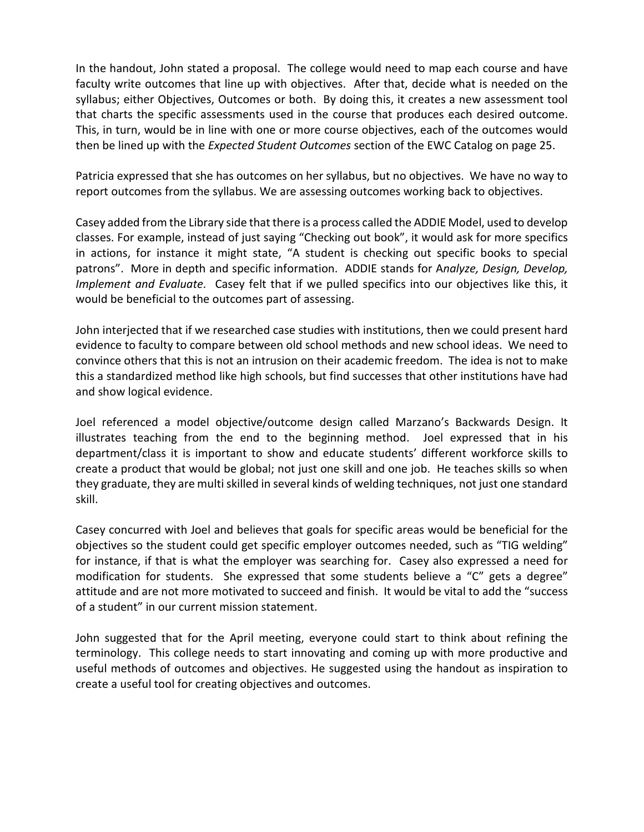In the handout, John stated a proposal. The college would need to map each course and have faculty write outcomes that line up with objectives. After that, decide what is needed on the syllabus; either Objectives, Outcomes or both. By doing this, it creates a new assessment tool that charts the specific assessments used in the course that produces each desired outcome. This, in turn, would be in line with one or more course objectives, each of the outcomes would then be lined up with the *Expected Student Outcomes* section of the EWC Catalog on page 25.

Patricia expressed that she has outcomes on her syllabus, but no objectives. We have no way to report outcomes from the syllabus. We are assessing outcomes working back to objectives.

Casey added from the Library side that there is a process called the ADDIE Model, used to develop classes. For example, instead of just saying "Checking out book", it would ask for more specifics in actions, for instance it might state, "A student is checking out specific books to special patrons". More in depth and specific information. ADDIE stands for A*nalyze, Design, Develop, Implement and Evaluate.* Casey felt that if we pulled specifics into our objectives like this, it would be beneficial to the outcomes part of assessing.

John interjected that if we researched case studies with institutions, then we could present hard evidence to faculty to compare between old school methods and new school ideas. We need to convince others that this is not an intrusion on their academic freedom. The idea is not to make this a standardized method like high schools, but find successes that other institutions have had and show logical evidence.

Joel referenced a model objective/outcome design called Marzano's Backwards Design. It illustrates teaching from the end to the beginning method. Joel expressed that in his department/class it is important to show and educate students' different workforce skills to create a product that would be global; not just one skill and one job. He teaches skills so when they graduate, they are multi skilled in several kinds of welding techniques, not just one standard skill.

Casey concurred with Joel and believes that goals for specific areas would be beneficial for the objectives so the student could get specific employer outcomes needed, such as "TIG welding" for instance, if that is what the employer was searching for. Casey also expressed a need for modification for students. She expressed that some students believe a "C" gets a degree" attitude and are not more motivated to succeed and finish. It would be vital to add the "success of a student" in our current mission statement.

John suggested that for the April meeting, everyone could start to think about refining the terminology. This college needs to start innovating and coming up with more productive and useful methods of outcomes and objectives. He suggested using the handout as inspiration to create a useful tool for creating objectives and outcomes.